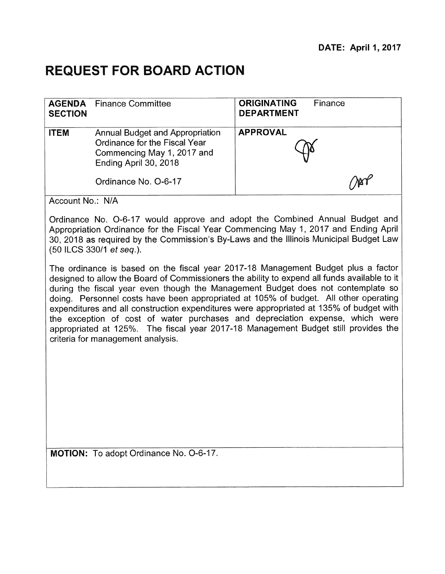## **REQUEST FOR BOARD ACTION**

| <b>SECTION</b> | <b>AGENDA</b> Finance Committee                                                                                                                        | <b>ORIGINATING</b><br>Finance<br><b>DEPARTMENT</b> |
|----------------|--------------------------------------------------------------------------------------------------------------------------------------------------------|----------------------------------------------------|
| <b>ITEM</b>    | <b>Annual Budget and Appropriation</b><br>Ordinance for the Fiscal Year<br>Commencing May 1, 2017 and<br>Ending April 30, 2018<br>Ordinance No. O-6-17 | <b>APPROVAL</b>                                    |

Account No.: N/A

Ordinance No. 0-6-17 would approve and adopt the Combined Annual Budget and Appropriation Ordinance for the Fiscal Year Commencing May 1, 2017 and Ending April 30, 2018 as required by the Commission's By-Laws and the Illinois Municipal Budget Law (50 ILCS 330/1 et seq.).

The ordinance is based on the fiscal year 2017-18 Management Budget plus a factor designed to allow the Board of Commissioners the ability to expend all funds available to it during the fiscal year even though the Management Budget does not contemplate so doing. Personnel costs have been appropriated at 105% of budget. All other operating expenditures and all construction expenditures were appropriated at 135% of budget with the exception of cost of water purchases and depreciation expense, which were appropriated at 125%. The fiscal year 2017-18 Management Budget still provides the criteria for management analysis.

**MOTION:** To adopt Ordinance No. 0-6-17.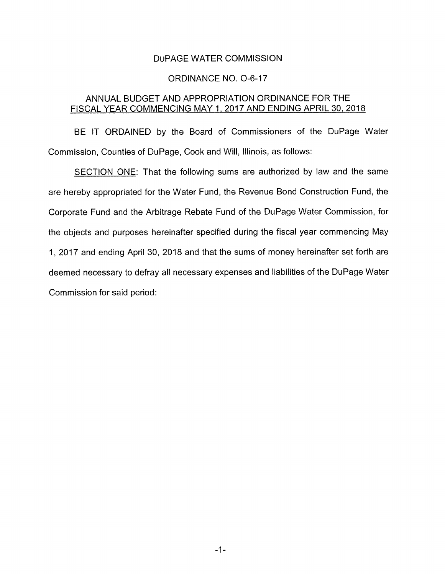### DuPAGE WATER COMMISSION

#### **ORDINANCE NO. O-6-17**

# ANNUAL BUDGET AND APPROPRIATION ORDINANCE FOR THE FISCAL YEAR COMMENCING MAY 1, 2017 AND ENDING APRIL 30, 2018

BE IT ORDAINED by the Board of Commissioners of the DuPage Water Commission, Counties of DuPage, Cook and Will, Illinois, as follows:

SECTION ONE: That the following sums are authorized by law and the same are hereby appropriated for the Water Fund, the Revenue Bond Construction Fund, the Corporate Fund and the Arbitrage Rebate Fund of the DuPage Water Commission, for the objects and purposes hereinafter specified during the fiscal year commencing May 1, 2017 and ending April 30, 2018 and that the sums of money hereinafter set forth are deemed necessary to defray all necessary expenses and liabilities of the DuPage Water Commission for said period: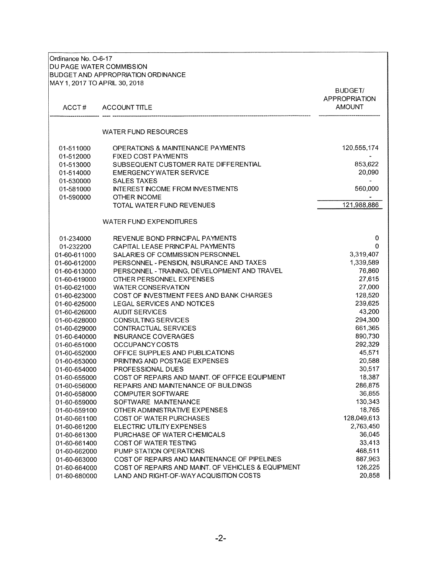| Ordinance No. O-6-17<br>DU PAGE WATER COMMISSION<br>MAY 1, 2017 TO APRIL 30, 2018 | <b>BUDGET AND APPROPRIATION ORDINANCE</b>          |                                                         |
|-----------------------------------------------------------------------------------|----------------------------------------------------|---------------------------------------------------------|
| ACCT#                                                                             | <b>ACCOUNT TITLE</b>                               | <b>BUDGET/</b><br><b>APPROPRIATION</b><br><b>AMOUNT</b> |
|                                                                                   | <b>WATER FUND RESOURCES</b>                        |                                                         |
| 01-511000                                                                         | OPERATIONS & MAINTENANCE PAYMENTS                  | 120,555,174                                             |
| 01-512000                                                                         | <b>FIXED COST PAYMENTS</b>                         |                                                         |
| 01-513000                                                                         | SUBSEQUENT CUSTOMER RATE DIFFERENTIAL              | 853,622                                                 |
| 01-514000                                                                         | <b>EMERGENCY WATER SERVICE</b>                     | 20,090                                                  |
| 01-530000                                                                         | SALES TAXES                                        |                                                         |
| 01-581000                                                                         | <b>INTEREST INCOME FROM INVESTMENTS</b>            | 560,000                                                 |
| 01-590000                                                                         | OTHER INCOME                                       |                                                         |
|                                                                                   | TOTAL WATER FUND REVENUES                          | 121,988,886                                             |
|                                                                                   | <b>WATER FUND EXPENDITURES</b>                     |                                                         |
| 01-234000                                                                         | REVENUE BOND PRINCIPAL PAYMENTS                    | 0                                                       |
| 01-232200                                                                         | CAPITAL LEASE PRINCIPAL PAYMENTS                   | 0                                                       |
| 01-60-611000                                                                      | SALARIES OF COMMISSION PERSONNEL                   | 3,319,407                                               |
| 01-60-612000                                                                      | PERSONNEL - PENSION, INSURANCE AND TAXES           | 1,339,589                                               |
| 01-60-613000                                                                      | PERSONNEL - TRAINING, DEVELOPMENT AND TRAVEL       | 76,860                                                  |
| 01-60-619000                                                                      | OTHER PERSONNEL EXPENSES                           | 27,615                                                  |
| 01-60-621000                                                                      | <b>WATER CONSERVATION</b>                          | 27,000                                                  |
| 01-60-623000                                                                      | COST OF INVESTMENT FEES AND BANK CHARGES           | 128,520                                                 |
| 01-60-625000                                                                      | LEGAL SERVICES AND NOTICES                         | 239,625                                                 |
| 01-60-626000                                                                      | <b>AUDIT SERVICES</b>                              | 43,200                                                  |
| 01-60-628000                                                                      | CONSULTING SERVICES                                | 294,300                                                 |
| 01-60-629000                                                                      | CONTRACTUAL SERVICES                               | 661,365                                                 |
| 01-60-640000                                                                      | <b>INSURANCE COVERAGES</b>                         | 890.730                                                 |
| 01-60-651000                                                                      | <b>OCCUPANCY COSTS</b>                             | 292,329                                                 |
| 01-60-652000                                                                      | OFFICE SUPPLIES AND PUBLICATIONS                   | 45,571                                                  |
| 01-60-653000                                                                      | PRINTING AND POSTAGE EXPENSES                      | 20,588                                                  |
| 01-60-654000                                                                      | PROFESSIONAL DUES                                  | 30,517                                                  |
| 01-60-655000                                                                      | COST OF REPAIRS AND MAINT. OF OFFICE EQUIPMENT     | 18,387                                                  |
| 01-60-656000                                                                      | REPAIRS AND MAINTENANCE OF BUILDINGS               | 286,875                                                 |
| 01-60-658000                                                                      | <b>COMPUTER SOFTWARE</b>                           | 36,855                                                  |
| 01-60-659000                                                                      | SOFTWARE MAINTENANCE                               | 130,343                                                 |
| 01-60-659100                                                                      | OTHER ADMINISTRATIVE EXPENSES                      | 18,765                                                  |
| 01-60-661100                                                                      | <b>COST OF WATER PURCHASES</b>                     | 128,049,613                                             |
| 01-60-661200                                                                      | ELECTRIC UTILITY EXPENSES                          | 2,763,450                                               |
| 01-60-661300                                                                      | PURCHASE OF WATER CHEMICALS                        | 36,045                                                  |
| 01-60-661400                                                                      | COST OF WATER TESTING                              | 33,413                                                  |
| 01-60-662000                                                                      | PUMP STATION OPERATIONS                            | 468,511                                                 |
| 01-60-663000                                                                      | COST OF REPAIRS AND MAINTENANCE OF PIPELINES       | 887,963                                                 |
| 01-60-664000                                                                      | COST OF REPAIRS AND MAINT. OF VEHICLES & EQUIPMENT | 126,225                                                 |
| 01-60-680000                                                                      | LAND AND RIGHT-OF-WAY ACQUISITION COSTS            | 20,858                                                  |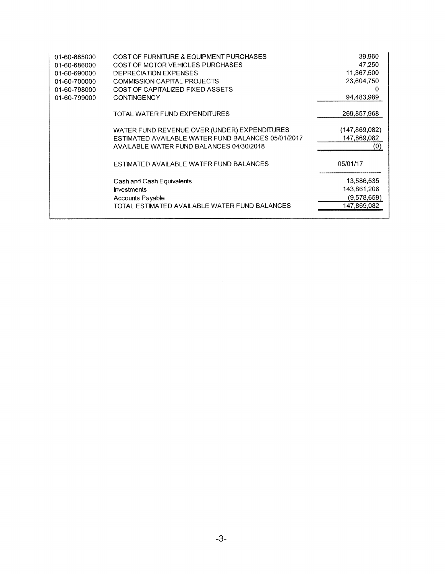| 01-60-685000 | COST OF FURNITURE & EQUIPMENT PURCHASES            | 39,960          |
|--------------|----------------------------------------------------|-----------------|
| 01-60-686000 | COST OF MOTOR VEHICLES PURCHASES                   | 47,250          |
| 01-60-690000 | <b>DEPRECIATION EXPENSES</b>                       | 11,367,500      |
| 01-60-700000 | COMMISSION CAPITAL PROJECTS                        | 23,604,750      |
| 01-60-798000 | COST OF CAPITALIZED FIXED ASSETS                   | 0               |
| 01-60-799000 | <b>CONTINGENCY</b>                                 | 94,483,989      |
|              | TOTAL WATER FUND EXPENDITURES                      | 269,857,968     |
|              | WATER FUND REVENUE OVER (UNDER) EXPENDITURES       | (147, 869, 082) |
|              | ESTIMATED AVAILABLE WATER FUND BALANCES 05/01/2017 | 147,869,082     |
|              | AVAILABLE WATER FUND BALANCES 04/30/2018           | (0)             |
|              | ESTIMATED AVAILABLE WATER FUND BALANCES            | 05/01/17        |
|              | Cash and Cash Equivalents                          | 13,586,535      |
|              | <b>Investments</b>                                 | 143,861,206     |
|              | <b>Accounts Payable</b>                            | (9,578,659)     |
|              | TOTAL ESTIMATED AVAILABLE WATER FUND BALANCES      | 147,869,082     |
|              |                                                    |                 |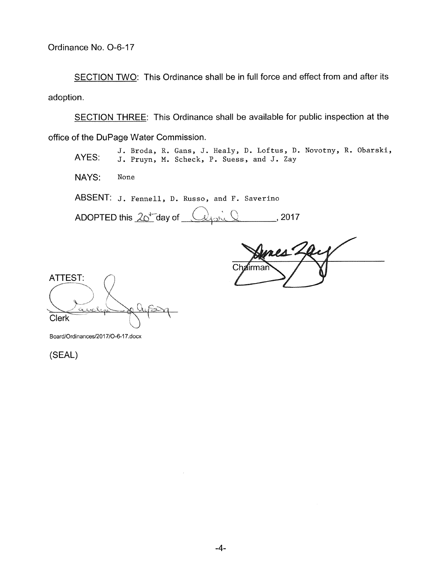SECTION TWO: This Ordinance shall be in full force and effect from and after its adoption.

SECTION THREE: This Ordinance shall be available for public inspection at the office of the DuPage Water Commission.

J. Broda, R. Gans, J. Healy, D. Loftus, D. Novotny, R. Obarski, AYES: J. Pruyn, N. Scheck, P. Suess, and J. Zay NAYS: None ABSENT: J. Fennell, D. Russo, and F. Saverino

ADOPTED this  $20^{4}$  day of  $\frac{2}{3}$   $\frac{2017}{3}$ 

**<sup>4</sup>**/  $Ch2$ iirmai

ATTEST: Clerk

Board/Ordinances/2017/0-6-17.docx

(SEAL)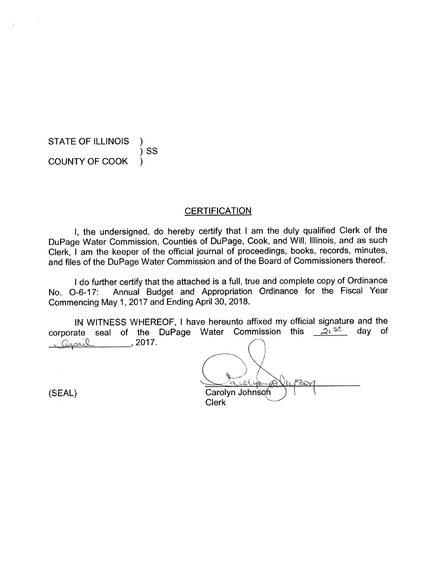STATE OF ILLINOIS )SS COUNTY OF COOK )

### **CERTIFICATION**

I, the undersigned, do hereby certify that I am the duly qualified Clerk of the DuPage Water Commission, Counties of DuPage, Cook, and Will, Illinois, and as such Clerk, I am the keeper of the official journal of proceedings, books, records, minutes, and files of the DuPage Water Commission and of the Board of Commissioners thereof.

I do further certify that the attached is a full, true and complete copy of Ordinance No. 0-6-17: Annual Budget and Appropriation Ordinance for the Fiscal Year Commencing May 1, 2017 and Ending April 30, 2018.

IN WITNESS WHEREOF, I have hereunto affixed my official signature and the rate seal of the DuPage Water Commission this  $2^{\sqrt{5}}$  day of corporate seal of the DuPage Water Commission this  $\frac{2\sqrt{5}}{2}$  day of Capril , 2017.

Carolyn Johnson **Clerk** 

(SEAL)